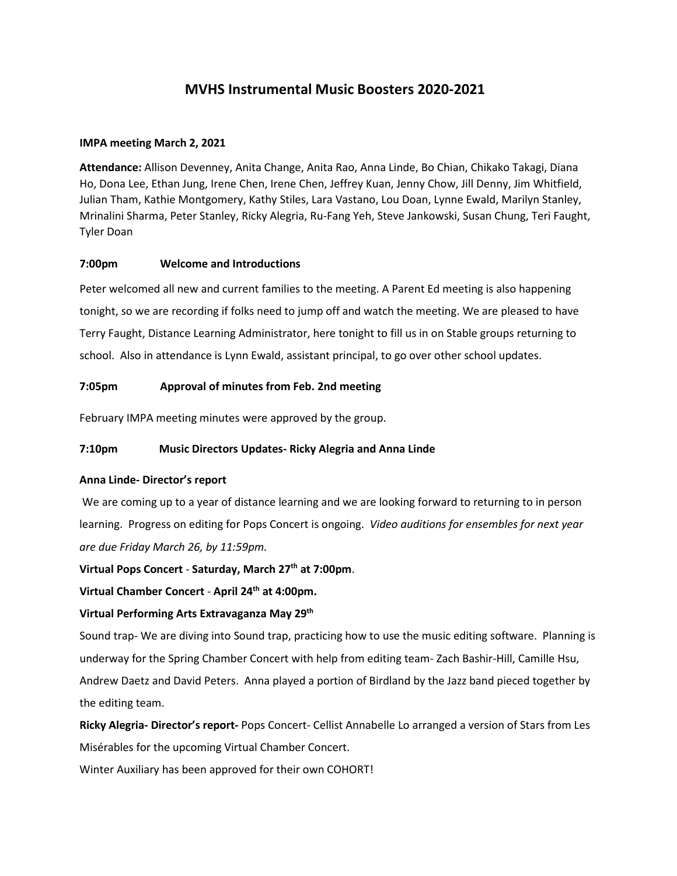# **MVHS Instrumental Music Boosters 2020-2021**

## **IMPA meeting March 2, 2021**

**Attendance:** Allison Devenney, Anita Change, Anita Rao, Anna Linde, Bo Chian, Chikako Takagi, Diana Ho, Dona Lee, Ethan Jung, Irene Chen, Irene Chen, Jeffrey Kuan, Jenny Chow, Jill Denny, Jim Whitfield, Julian Tham, Kathie Montgomery, Kathy Stiles, Lara Vastano, Lou Doan, Lynne Ewald, Marilyn Stanley, Mrinalini Sharma, Peter Stanley, Ricky Alegria, Ru-Fang Yeh, Steve Jankowski, Susan Chung, Teri Faught, Tyler Doan

## **7:00pm Welcome and Introductions**

Peter welcomed all new and current families to the meeting. A Parent Ed meeting is also happening tonight, so we are recording if folks need to jump off and watch the meeting. We are pleased to have Terry Faught, Distance Learning Administrator, here tonight to fill us in on Stable groups returning to school. Also in attendance is Lynn Ewald, assistant principal, to go over other school updates.

## **7:05pm Approval of minutes from Feb. 2nd meeting**

February IMPA meeting minutes were approved by the group.

# **7:10pm Music Directors Updates- Ricky Alegria and Anna Linde**

#### **Anna Linde- Director's report**

We are coming up to a year of distance learning and we are looking forward to returning to in person learning. Progress on editing for Pops Concert is ongoing. *Video auditions for ensembles for next year are due Friday March 26, by 11:59pm.* 

**Virtual Pops Concert** - **Saturday, March 27th at 7:00pm**.

**Virtual Chamber Concert** - **April 24th at 4:00pm.** 

#### **Virtual Performing Arts Extravaganza May 29th**

Sound trap- We are diving into Sound trap, practicing how to use the music editing software. Planning is underway for the Spring Chamber Concert with help from editing team- Zach Bashir-Hill, Camille Hsu, Andrew Daetz and David Peters. Anna played a portion of Birdland by the Jazz band pieced together by the editing team.

**Ricky Alegria- Director's report-** Pops Concert- Cellist Annabelle Lo arranged a version of Stars from Les Misérables for the upcoming Virtual Chamber Concert.

Winter Auxiliary has been approved for their own COHORT!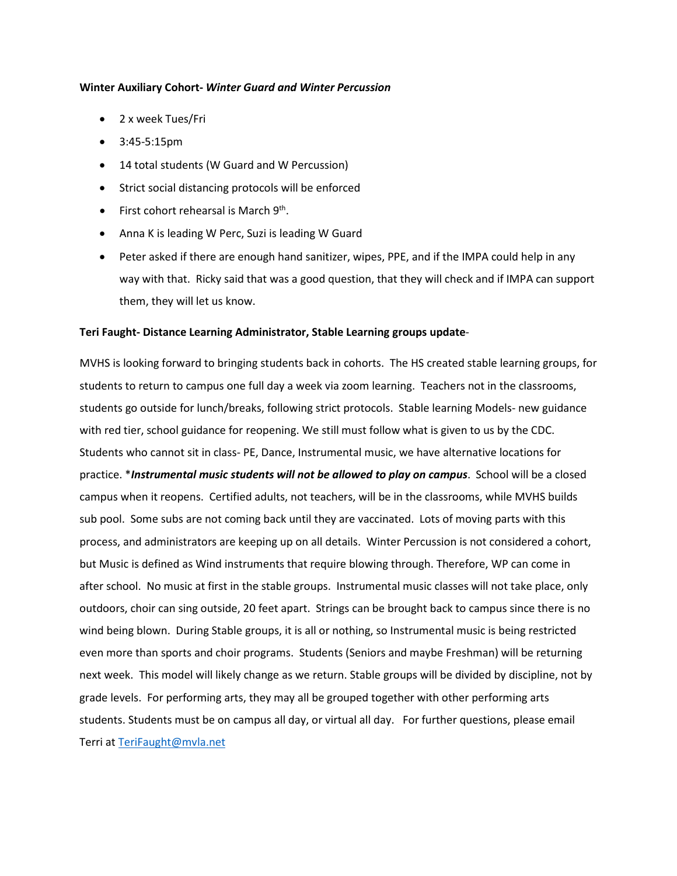#### **Winter Auxiliary Cohort-** *Winter Guard and Winter Percussion*

- 2 x week Tues/Fri
- 3:45-5:15pm
- 14 total students (W Guard and W Percussion)
- Strict social distancing protocols will be enforced
- $\bullet$  First cohort rehearsal is March  $9^{th}$ .
- Anna K is leading W Perc, Suzi is leading W Guard
- Peter asked if there are enough hand sanitizer, wipes, PPE, and if the IMPA could help in any way with that. Ricky said that was a good question, that they will check and if IMPA can support them, they will let us know.

## **Teri Faught- Distance Learning Administrator, Stable Learning groups update**-

MVHS is looking forward to bringing students back in cohorts. The HS created stable learning groups, for students to return to campus one full day a week via zoom learning. Teachers not in the classrooms, students go outside for lunch/breaks, following strict protocols. Stable learning Models- new guidance with red tier, school guidance for reopening. We still must follow what is given to us by the CDC. Students who cannot sit in class- PE, Dance, Instrumental music, we have alternative locations for practice. \**Instrumental music students will not be allowed to play on campus*. School will be a closed campus when it reopens. Certified adults, not teachers, will be in the classrooms, while MVHS builds sub pool. Some subs are not coming back until they are vaccinated. Lots of moving parts with this process, and administrators are keeping up on all details. Winter Percussion is not considered a cohort, but Music is defined as Wind instruments that require blowing through. Therefore, WP can come in after school. No music at first in the stable groups. Instrumental music classes will not take place, only outdoors, choir can sing outside, 20 feet apart. Strings can be brought back to campus since there is no wind being blown. During Stable groups, it is all or nothing, so Instrumental music is being restricted even more than sports and choir programs. Students (Seniors and maybe Freshman) will be returning next week. This model will likely change as we return. Stable groups will be divided by discipline, not by grade levels. For performing arts, they may all be grouped together with other performing arts students. Students must be on campus all day, or virtual all day. For further questions, please email Terri at [TeriFaught@mvla.net](mailto:TeriFaught@mvla.net)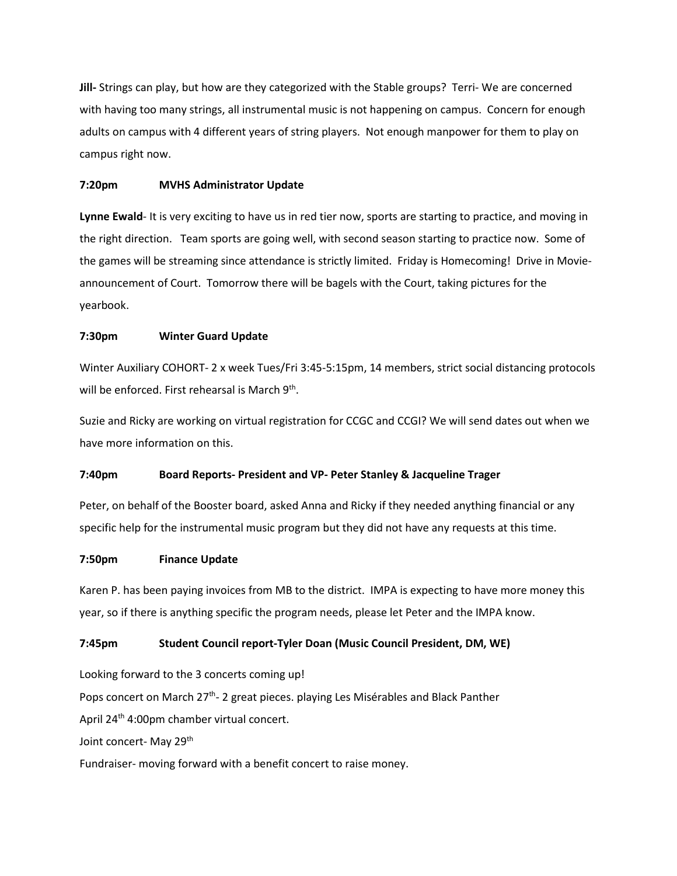**Jill-** Strings can play, but how are they categorized with the Stable groups? Terri- We are concerned with having too many strings, all instrumental music is not happening on campus. Concern for enough adults on campus with 4 different years of string players. Not enough manpower for them to play on campus right now.

## **7:20pm MVHS Administrator Update**

**Lynne Ewald**- It is very exciting to have us in red tier now, sports are starting to practice, and moving in the right direction. Team sports are going well, with second season starting to practice now. Some of the games will be streaming since attendance is strictly limited. Friday is Homecoming! Drive in Movieannouncement of Court. Tomorrow there will be bagels with the Court, taking pictures for the yearbook.

## **7:30pm Winter Guard Update**

Winter Auxiliary COHORT- 2 x week Tues/Fri 3:45-5:15pm, 14 members, strict social distancing protocols will be enforced. First rehearsal is March 9<sup>th</sup>.

Suzie and Ricky are working on virtual registration for CCGC and CCGI? We will send dates out when we have more information on this.

# **7:40pm Board Reports- President and VP- Peter Stanley & Jacqueline Trager**

Peter, on behalf of the Booster board, asked Anna and Ricky if they needed anything financial or any specific help for the instrumental music program but they did not have any requests at this time.

#### **7:50pm Finance Update**

Karen P. has been paying invoices from MB to the district. IMPA is expecting to have more money this year, so if there is anything specific the program needs, please let Peter and the IMPA know.

# **7:45pm Student Council report-Tyler Doan (Music Council President, DM, WE)**

Looking forward to the 3 concerts coming up! Pops concert on March  $27<sup>th</sup>$ - 2 great pieces. playing Les Misérables and Black Panther April 24<sup>th</sup> 4:00pm chamber virtual concert. Joint concert- May 29<sup>th</sup>

Fundraiser- moving forward with a benefit concert to raise money.